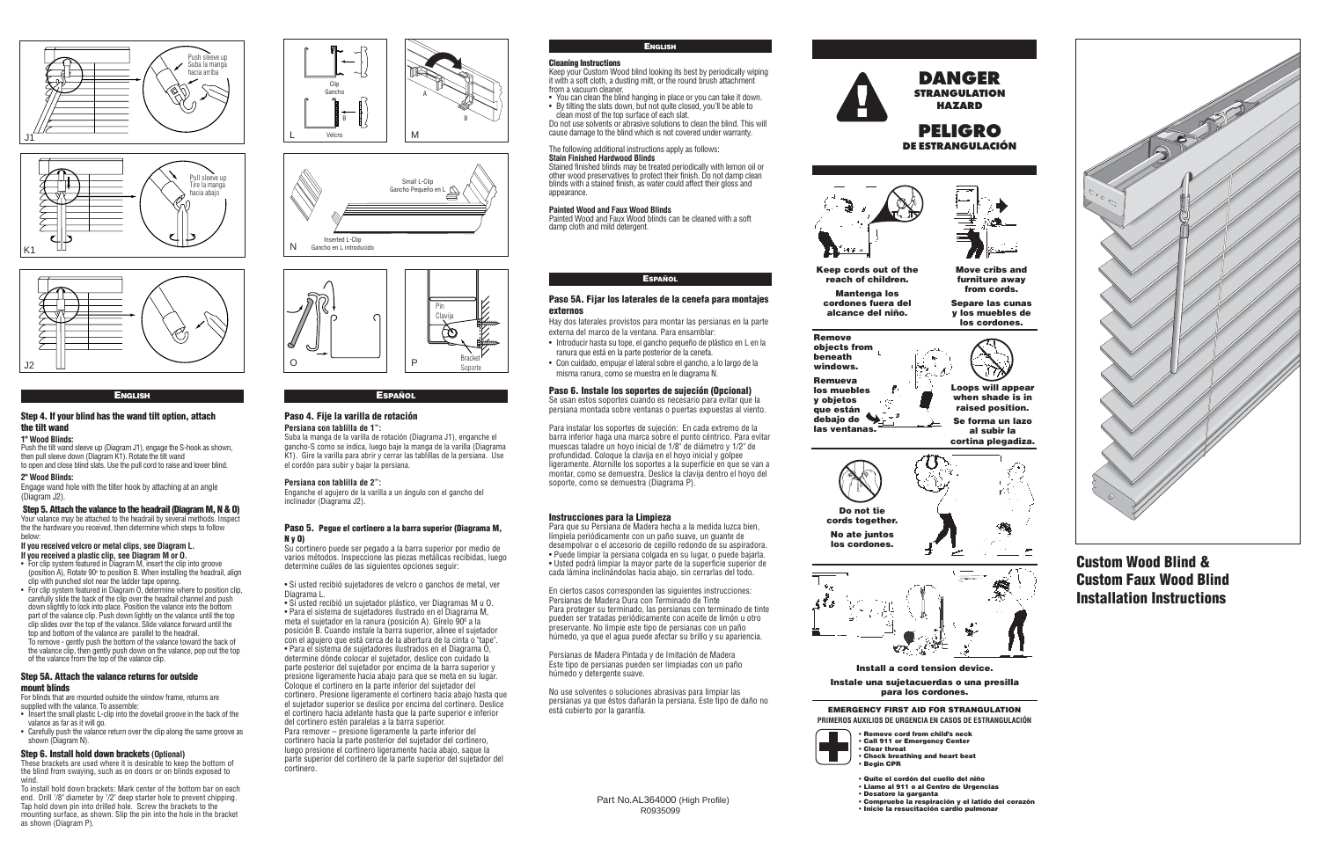# **Custom Wood Blind & Custom Faux Wood Blind Installation Instructions**

#### **ENGLISH**

## **Step 4. If your blind has the wand tilt option, attach the tilt wand**

### **1" Wood Blinds:**

Push the tilt wand sleeve up (Diagram J1), engage the S-hook as shown, then pull sleeve down (Diagram K1). Rotate the tilt wand to open and close blind slats. Use the pull cord to raise and lower blind.

#### **2" Wood Blinds:**

Engage wand hole with the tilter hook by attaching at an angle (Diagram J2).

# **Step 5. Attach the valance to the headrail (Diagram M, N & O)**

Your valance may be attached to the headrail by several methods. Inspect the the hardware you received, then determine which steps to follow below:

# **If you received velcro or metal clips, see Diagram L.**

For blinds that are mounted outside the window frame, returns are supplied with the valance. To assemble:

These brackets are used where it is desirable to keep the bottom of the blind from swaying, such as on doors or on blinds exposed to wind

- **If you received a plastic clip, see Diagram M or O.** • For clip system featured in Diagram M, insert the clip into groove
- (position A). Rotate  $90^\circ$  to position B. When installing the headrail, align clip with punched slot near the ladder tape openng.
- For clip system featured in Diagram O, determine where to position clip, carefully slide the back of the clip over the headrail channel and push down slightly to lock into place. Position the valance into the bottom part of the valance clip. Push down lightly on the valance until the top clip slides over the top of the valance. Slide valance forward until the top and bottom of the valance are parallel to the headrail. To remove - gently push the bottom of the valance toward the back of the valance clip, then gently push down on the valance, pop out the top

• You can clean the blind hanging in place or you can take it down. • By tilting the slats down, but not quite closed, you'll be able to clean most of the top surface of each slat.

of the valance from the top of the valance clip. **Step 5A. Attach the valance returns for outside** 

#### **mount blinds**

- Insert the small plastic L-clip into the dovetail groove in the back of the valance as far as it will go.
- Carefully push the valance return over the clip along the same groove as shown (Diagram N).

### **Step 6. Install hold down brackets (Optional)**

To install hold down brackets: Mark center of the bottom bar on each end. Drill '/8" diameter by '/2" deep starter hole to prevent chipping. Tap hold down pin into drilled hole. Screw the brackets to the mounting surface, as shown. Slip the pin into the hole in the bracket as shown (Diagram P).

# **ENGLISH**

### **Cleaning Instructions**

Keep your Custom Wood blind looking its best by periodically wiping it with a soft cloth, a dusting mitt, or the round brush attachment from a vacuum cleaner.

Do not use solvents or abrasive solutions to clean the blind. This will cause damage to the blind which is not covered under warranty.

# The following additional instructions apply as follows:

**Stain Finished Hardwood Blinds** Stained finished blinds may be treated periodically with lemon oil or other wood preservatives to protect their finish. Do not damp clean blinds with a stained finish, as water could affect their gloss and appearance.

### **Painted Wood and Faux Wood Blinds**

Painted Wood and Faux Wood blinds can be cleaned with a soft damp cloth and mild detergent.

### **ESPAÑOL**

### **Paso 5A. Fijar los laterales de la cenefa para montajes externos**

Hay dos laterales provistos para montar las persianas en la parte externa del marco de la ventana. Para ensamblar:

- Introducir hasta su tope, el gancho pequeño de plástico en L en la ranura que está en la parte posterior de la cenefa.
- Con cuidado, empujar el lateral sobre el gancho, a lo largo de la misma ranura, como se muestra en le diagrama N.

### **Paso 6. Instale los soportes de sujeción (Opcional)**

Se usan estos soportes cuando es necesario para evitar que la persiana montada sobre ventanas o puertas expuestas al viento.

Para instalar los soportes de sujeción: En cada extremo de la barra inferior haga una marca sobre el punto céntrico. Para evitar muescas taladre un hoyo inicial de 1/8" de diámetro y 1/2" de profundidad. Coloque la clavija en el hoyo inicial y golpee ligeramente. Atornille los soportes a la superficie en que se van a montar, como se demuestra. Deslice la clavija dentro el hoyo del soporte, como se demuestra (Diagrama P).

### **Instrucciones para la Limpieza**

Para que su Persiana de Madera hecha a la medida luzca bien, límpiela periódicamente con un paño suave, un guante de desempolvar o el accesorio de cepillo redondo de su aspiradora. • Puede limpiar la persiana colgada en su lugar, o puede bajarla. • Usted podrá limpiar la mayor parte de la superficie superior de cada lámina inclinándolas hacia abajo, sin cerrarlas del todo.

En ciertos casos corresponden las siguientes instrucciones: Persianas de Madera Dura con Terminado de Tinte Para proteger su terminado, las persianas con terminado de tinte pueden ser tratadas periódicamente con aceite de limón u otro preservante. No limpie este tipo de persianas con un paño húmedo, ya que el agua puede afectar su brillo y su apariencia.

Persianas de Madera Pintada y de Imitación de Madera Este tipo de persianas pueden ser limpiadas con un paño húmedo y detergente suave.

No use solventes o soluciones abrasivas para limpiar las persianas ya que éstos dañarán la persiana. Este tipo de daño no está cubierto por la garantía.

# **ESPAÑOL**

### **Paso 4. Fije la varilla de rotación Persiana con tablilla de 1":**

Suba la manga de la varilla de rotación (Diagrama J1), enganche el gancho-S como se indica, luego baje la manga de la varilla (Diagrama K1). Gire la varilla para abrir y cerrar las tablillas de la persiana. Use el cordón para subir y bajar la persiana.

### **Persiana con tablilla de 2":**

Enganche el agujero de la varilla a un ángulo con el gancho del inclinador (Diagrama J2).

### **Paso 5. Pegue el cortinero a la barra superior (Diagrama M, N y O)**

Su cortinero puede ser pegado a la barra superior por medio de varios métodos. Inspeccione las piezas metálicas recibidas, luego determine cuáles de las siguientes opciones seguir:

• Si usted recibió sujetadores de velcro o ganchos de metal, ver Diagrama L.

• Si usted recibió un sujetador plástico, ver Diagramas M u O. • Para el sistema de sujetadores ilustrado en el Diagrama M, meta el sujetador en la ranura (posición A). Gírelo 90º a la posición B. Cuando instale la barra superior, alinee el sujetador con el agujero que está cerca de la abertura de la cinta o "tape". • Para el sistema de sujetadores ilustrados en el Diagrama O, determine dónde colocar el sujetador, deslice con cuidado la parte posterior del sujetador por encima de la barra superior y presione ligeramente hacia abajo para que se meta en su lugar. Coloque el cortinero en la parte inferior del sujetador del cortinero. Presione ligeramente el cortinero hacia abajo hasta que el sujetador superior se deslice por encima del cortinero. Deslice el cortinero hacia adelante hasta que la parte superior e inferior del cortinero estén paralelas a la barra superior. Para remover – presione ligeramente la parte inferior del cortinero hacia la parte posterior del sujetador del cortinero, luego presione el cortinero ligeramente hacia abajo, saque la parte superior del cortinero de la parte superior del sujetador del cortinero.

> Part No.AL364000 (High Profile) R0935099





### **EMERGENCY FIRST AID FOR STRANGULATION PRIMEROS AUXILIOS DE URGENCIA EN CASOS DE ESTRANGULACIÓN**



**Move cribs and furniture away from cords.**

**Separe las cunas y los muebles de los cordones.**



**Keep cords out of the reach of children.** 

**Mantenga los cordones fuera del alcance del niño.**

> **Loops will appear when shade is in raised position.**

> **Se forma un lazo al subir la cortina plegadiza.**







# **Install a cord tension device.**

### **Instale una sujetacuerdas o una presilla para los cordones.**









**• Remove cord from child's neck**



**• Call 911 or Emergency Center • Clear throat • Check breathing and heart beat • Begin CPR**

- **Quíte el cordón del cuello del niño**
- **Llame al 911 o al Centro de Urgencias • Desatore la garganta**
- **Compruebe la respiración y el latido del corazón**
- **Inicie la resucitación cardio pulmonar**



**PELIGRO**<br>DE ESTRANGULACIÓN